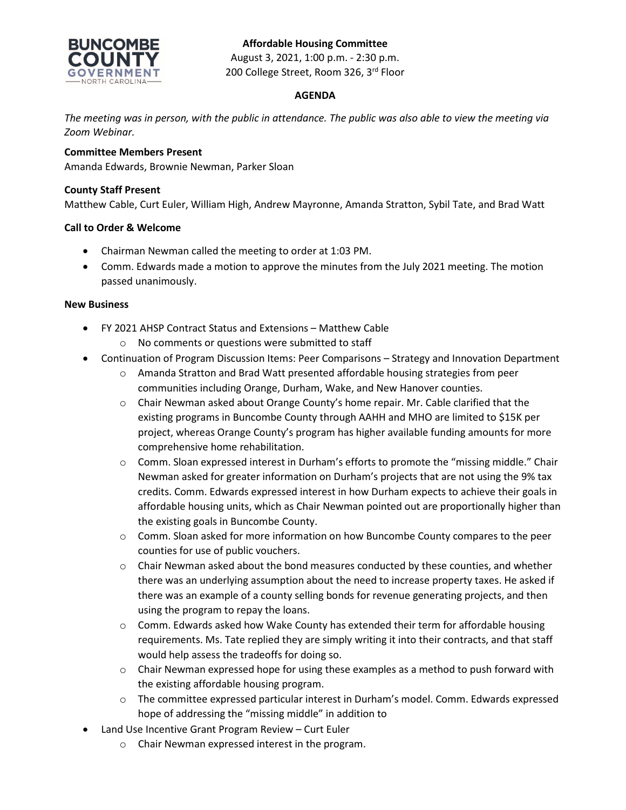# **Affordable Housing Committee**



August 3, 2021, 1:00 p.m. - 2:30 p.m. 200 College Street, Room 326, 3rd Floor

## **AGENDA**

*The meeting was in person, with the public in attendance. The public was also able to view the meeting via Zoom Webinar.*

## **Committee Members Present**

Amanda Edwards, Brownie Newman, Parker Sloan

### **County Staff Present**

Matthew Cable, Curt Euler, William High, Andrew Mayronne, Amanda Stratton, Sybil Tate, and Brad Watt

## **Call to Order & Welcome**

- Chairman Newman called the meeting to order at 1:03 PM.
- Comm. Edwards made a motion to approve the minutes from the July 2021 meeting. The motion passed unanimously.

#### **New Business**

- FY 2021 AHSP Contract Status and Extensions Matthew Cable
	- o No comments or questions were submitted to staff
- Continuation of Program Discussion Items: Peer Comparisons Strategy and Innovation Department
	- o Amanda Stratton and Brad Watt presented affordable housing strategies from peer communities including Orange, Durham, Wake, and New Hanover counties.
	- o Chair Newman asked about Orange County's home repair. Mr. Cable clarified that the existing programs in Buncombe County through AAHH and MHO are limited to \$15K per project, whereas Orange County's program has higher available funding amounts for more comprehensive home rehabilitation.
	- o Comm. Sloan expressed interest in Durham's efforts to promote the "missing middle." Chair Newman asked for greater information on Durham's projects that are not using the 9% tax credits. Comm. Edwards expressed interest in how Durham expects to achieve their goals in affordable housing units, which as Chair Newman pointed out are proportionally higher than the existing goals in Buncombe County.
	- $\circ$  Comm. Sloan asked for more information on how Buncombe County compares to the peer counties for use of public vouchers.
	- $\circ$  Chair Newman asked about the bond measures conducted by these counties, and whether there was an underlying assumption about the need to increase property taxes. He asked if there was an example of a county selling bonds for revenue generating projects, and then using the program to repay the loans.
	- $\circ$  Comm. Edwards asked how Wake County has extended their term for affordable housing requirements. Ms. Tate replied they are simply writing it into their contracts, and that staff would help assess the tradeoffs for doing so.
	- $\circ$  Chair Newman expressed hope for using these examples as a method to push forward with the existing affordable housing program.
	- o The committee expressed particular interest in Durham's model. Comm. Edwards expressed hope of addressing the "missing middle" in addition to
- Land Use Incentive Grant Program Review Curt Euler
	- o Chair Newman expressed interest in the program.